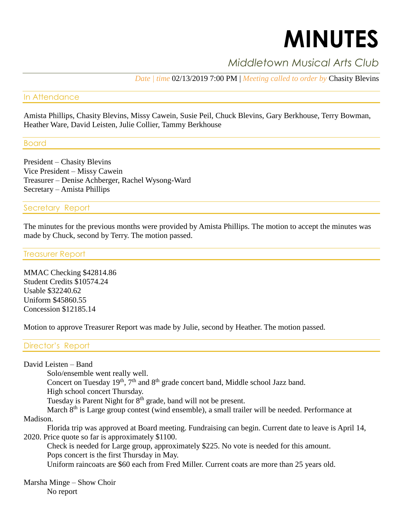# **MINUTES**

# *Middletown Musical Arts Club*

*Date | time* 02/13/2019 7:00 PM | *Meeting called to order by* Chasity Blevins

# In Attendance

Amista Phillips, Chasity Blevins, Missy Cawein, Susie Peil, Chuck Blevins, Gary Berkhouse, Terry Bowman, Heather Ware, David Leisten, Julie Collier, Tammy Berkhouse

Board

President – Chasity Blevins Vice President – Missy Cawein Treasurer – Denise Achberger, Rachel Wysong-Ward Secretary – Amista Phillips

## Secretary Report

The minutes for the previous months were provided by Amista Phillips. The motion to accept the minutes was made by Chuck, second by Terry. The motion passed.

Treasurer Report

MMAC Checking \$42814.86 Student Credits \$10574.24 Usable \$32240.62 Uniform \$45860.55 Concession \$12185.14

Motion to approve Treasurer Report was made by Julie, second by Heather. The motion passed.

# Director's Report

David Leisten – Band

Solo/ensemble went really well.

Concert on Tuesday 19<sup>th</sup>, 7<sup>th</sup> and 8<sup>th</sup> grade concert band, Middle school Jazz band.

High school concert Thursday.

Tuesday is Parent Night for 8<sup>th</sup> grade, band will not be present.

March 8<sup>th</sup> is Large group contest (wind ensemble), a small trailer will be needed. Performance at

Madison.

Florida trip was approved at Board meeting. Fundraising can begin. Current date to leave is April 14, 2020. Price quote so far is approximately \$1100.

Check is needed for Large group, approximately \$225. No vote is needed for this amount. Pops concert is the first Thursday in May.

Uniform raincoats are \$60 each from Fred Miller. Current coats are more than 25 years old.

Marsha Minge – Show Choir No report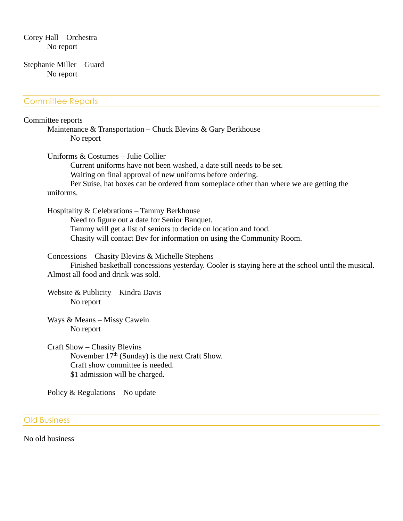Corey Hall – Orchestra No report

#### Stephanie Miller – Guard No report

### Committee Reports

#### Committee reports

Maintenance & Transportation – Chuck Blevins & Gary Berkhouse No report

Uniforms & Costumes – Julie Collier Current uniforms have not been washed, a date still needs to be set. Waiting on final approval of new uniforms before ordering. Per Suise, hat boxes can be ordered from someplace other than where we are getting the uniforms.

Hospitality & Celebrations – Tammy Berkhouse Need to figure out a date for Senior Banquet. Tammy will get a list of seniors to decide on location and food. Chasity will contact Bev for information on using the Community Room.

Concessions – Chasity Blevins & Michelle Stephens

Finished basketball concessions yesterday. Cooler is staying here at the school until the musical. Almost all food and drink was sold.

Website & Publicity – Kindra Davis No report

Ways & Means – Missy Cawein No report

Craft Show – Chasity Blevins November  $17<sup>th</sup>$  (Sunday) is the next Craft Show. Craft show committee is needed. \$1 admission will be charged.

Policy & Regulations – No update

#### Old Business

No old business